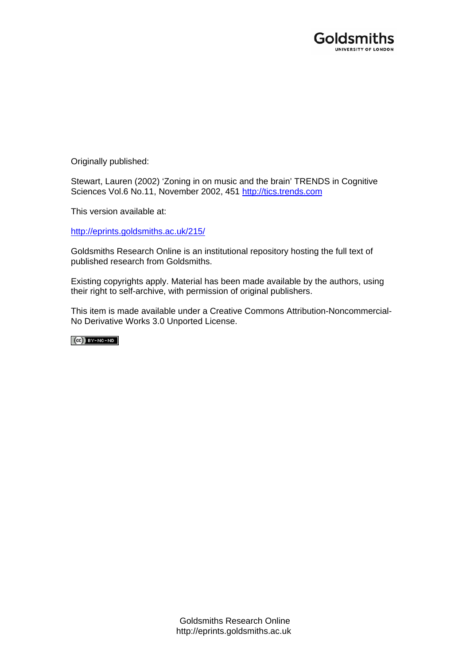

Originally published:

Stewart, Lauren (2002) 'Zoning in on music and the brain' TRENDS in Cognitive Sciences Vol.6 No.11, November 2002, 451 [http://tics.trends.com](http://tics.trends.com/)

This version available at:

[http://eprints.goldsmiths.ac.uk/215/](http://eprints.goldsmiths.ac.uk/211/)

Goldsmiths Research Online is an institutional repository hosting the full text of published research from Goldsmiths.

Existing copyrights apply. Material has been made available by the authors, using their right to self-archive, with permission of original publishers.

This item is made available under a Creative Commons Attribution-Noncommercial-No Derivative Works 3.0 Unported License.

 $(C)$  BY-NC-ND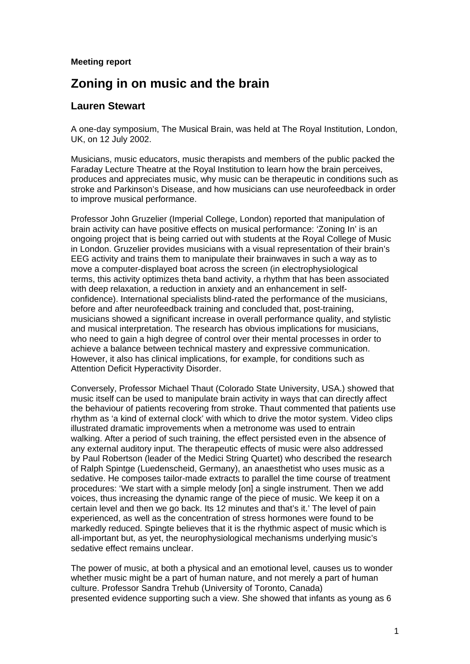## **Zoning in on music and the brain**

## **Lauren Stewart**

A one-day symposium, The Musical Brain, was held at The Royal Institution, London, UK, on 12 July 2002.

Musicians, music educators, music therapists and members of the public packed the Faraday Lecture Theatre at the Royal Institution to learn how the brain perceives, produces and appreciates music, why music can be therapeutic in conditions such as stroke and Parkinson's Disease, and how musicians can use neurofeedback in order to improve musical performance.

Professor John Gruzelier (Imperial College, London) reported that manipulation of brain activity can have positive effects on musical performance: 'Zoning In' is an ongoing project that is being carried out with students at the Royal College of Music in London. Gruzelier provides musicians with a visual representation of their brain's EEG activity and trains them to manipulate their brainwaves in such a way as to move a computer-displayed boat across the screen (in electrophysiological terms, this activity optimizes theta band activity, a rhythm that has been associated with deep relaxation, a reduction in anxiety and an enhancement in selfconfidence). International specialists blind-rated the performance of the musicians, before and after neurofeedback training and concluded that, post-training, musicians showed a significant increase in overall performance quality, and stylistic and musical interpretation. The research has obvious implications for musicians, who need to gain a high degree of control over their mental processes in order to achieve a balance between technical mastery and expressive communication. However, it also has clinical implications, for example, for conditions such as Attention Deficit Hyperactivity Disorder.

Conversely, Professor Michael Thaut (Colorado State University, USA.) showed that music itself can be used to manipulate brain activity in ways that can directly affect the behaviour of patients recovering from stroke. Thaut commented that patients use rhythm as 'a kind of external clock' with which to drive the motor system. Video clips illustrated dramatic improvements when a metronome was used to entrain walking. After a period of such training, the effect persisted even in the absence of any external auditory input. The therapeutic effects of music were also addressed by Paul Robertson (leader of the Medici String Quartet) who described the research of Ralph Spintge (Luedenscheid, Germany), an anaesthetist who uses music as a sedative. He composes tailor-made extracts to parallel the time course of treatment procedures: 'We start with a simple melody [on] a single instrument. Then we add voices, thus increasing the dynamic range of the piece of music. We keep it on a certain level and then we go back. Its 12 minutes and that's it.' The level of pain experienced, as well as the concentration of stress hormones were found to be markedly reduced. Spingte believes that it is the rhythmic aspect of music which is all-important but, as yet, the neurophysiological mechanisms underlying music's sedative effect remains unclear.

The power of music, at both a physical and an emotional level, causes us to wonder whether music might be a part of human nature, and not merely a part of human culture. Professor Sandra Trehub (University of Toronto, Canada) presented evidence supporting such a view. She showed that infants as young as 6